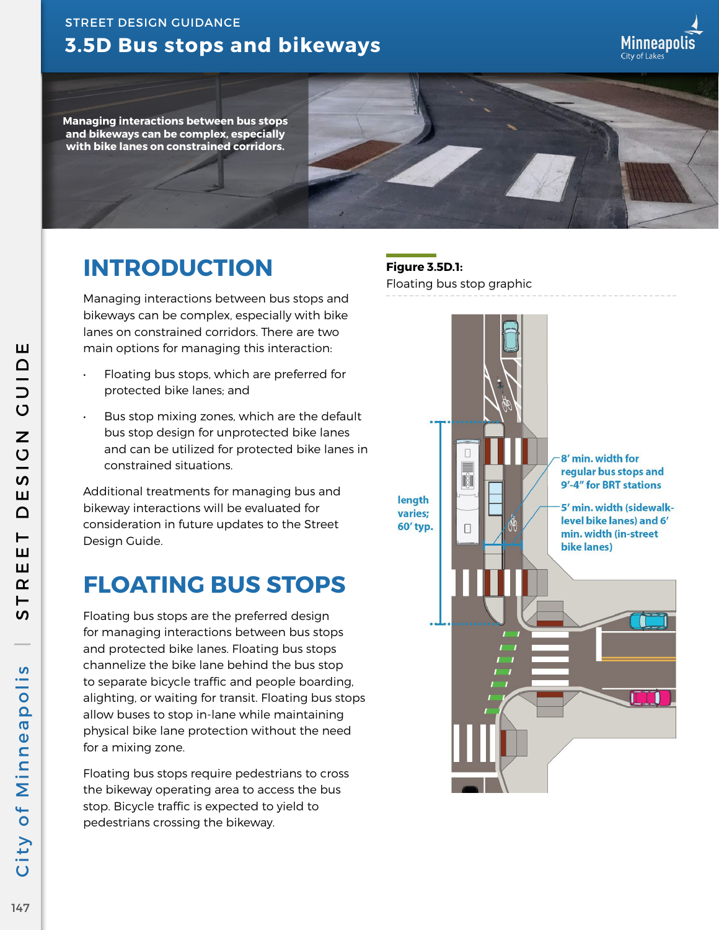## **3.5D Bus stops and bikeways** STREET DESIGN GUIDANCE

**Managing interactions between bus stops and bikeways can be complex, especially with bike lanes on constrained corridors.**

## **INTRODUCTION**

Managing interactions between bus stops and bikeways can be complex, especially with bike lanes on constrained corridors. There are two main options for managing this interaction:

- Floating bus stops, which are preferred for protected bike lanes; and
- Bus stop mixing zones, which are the default bus stop design for unprotected bike lanes and can be utilized for protected bike lanes in constrained situations.

Additional treatments for managing bus and bikeway interactions will be evaluated for consideration in future updates to the Street Design Guide.

## **FLOATING BUS STOPS**

Floating bus stops are the preferred design for managing interactions between bus stops and protected bike lanes. Floating bus stops channelize the bike lane behind the bus stop to separate bicycle traffic and people boarding, alighting, or waiting for transit. Floating bus stops allow buses to stop in-lane while maintaining physical bike lane protection without the need for a mixing zone.

Floating bus stops require pedestrians to cross the bikeway operating area to access the bus stop. Bicycle traffic is expected to yield to pedestrians crossing the bikeway.

**Figure 3.5D.1:** Floating bus stop graphic



Minneapolis

City of Minneapolis | STREET DESIGN GUIDE  $\overline{O}$  $\overline{5}$ Ш  $\bigcap$  $\vdash$ ш ш  $\alpha$ **SV**  $\mathbf{v}$ City of Minneapoli

Ш

OIDO

Z

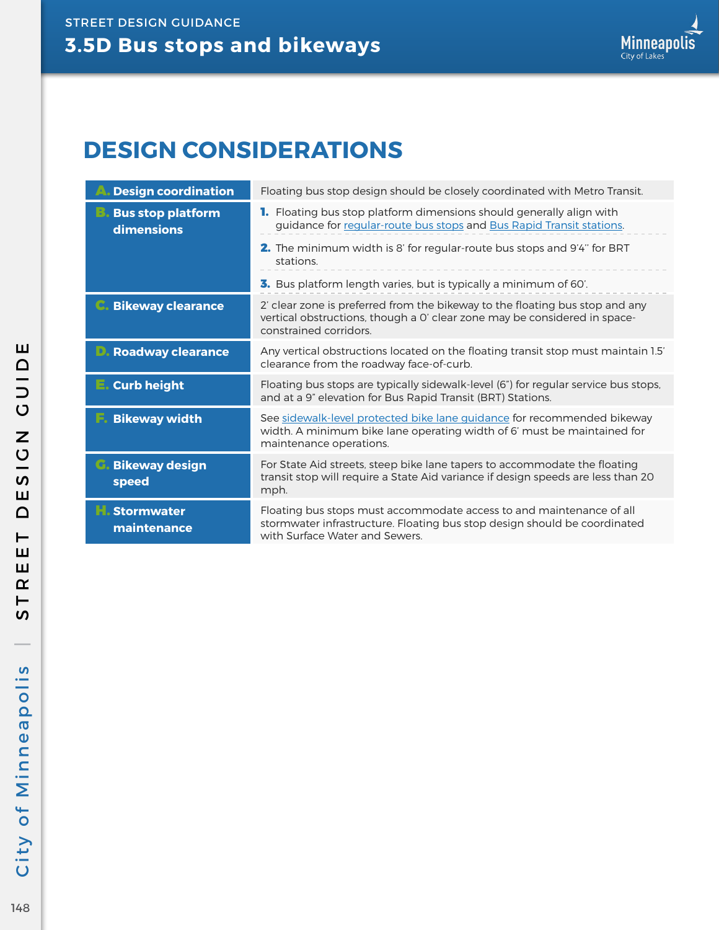## **DESIGN CONSIDERATIONS**

| <b>Design coordination</b>             | Floating bus stop design should be closely coordinated with Metro Transit.                                                                                                          |
|----------------------------------------|-------------------------------------------------------------------------------------------------------------------------------------------------------------------------------------|
| <b>Bus stop platform</b><br>dimensions | <b>1.</b> Floating bus stop platform dimensions should generally align with<br>guidance for regular-route bus stops and Bus Rapid Transit stations.                                 |
|                                        | <b>2.</b> The minimum width is 8' for regular-route bus stops and 9'4" for BRT<br>stations.                                                                                         |
|                                        | 3. Bus platform length varies, but is typically a minimum of 60'.                                                                                                                   |
| <b>Bikeway clearance</b>               | 2' clear zone is preferred from the bikeway to the floating bus stop and any<br>vertical obstructions, though a O' clear zone may be considered in space-<br>constrained corridors. |
| <b>Roadway clearance</b>               | Any vertical obstructions located on the floating transit stop must maintain 1.5'<br>clearance from the roadway face-of-curb.                                                       |
| <b>Curb height</b><br>E.               | Floating bus stops are typically sidewalk-level (6") for regular service bus stops,<br>and at a 9" elevation for Bus Rapid Transit (BRT) Stations.                                  |
| <b>Bikeway width</b>                   | See sidewalk-level protected bike lane guidance for recommended bikeway<br>width. A minimum bike lane operating width of 6' must be maintained for<br>maintenance operations.       |
| <b>Bikeway design</b><br>speed         | For State Aid streets, steep bike lane tapers to accommodate the floating<br>transit stop will require a State Aid variance if design speeds are less than 20<br>mph.               |
| <b>Stormwater</b><br>maintenance       | Floating bus stops must accommodate access to and maintenance of all<br>stormwater infrastructure. Floating bus stop design should be coordinated<br>with Surface Water and Sewers. |